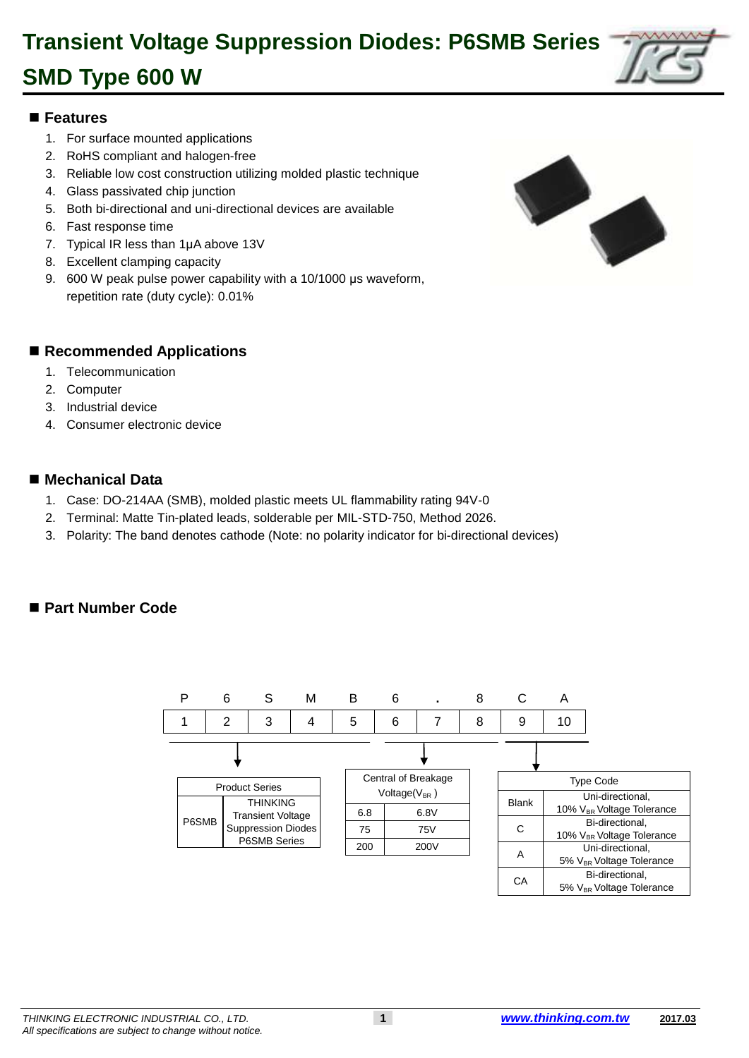

#### 1 **Features**

- 1. For surface mounted applications
- 2. RoHS compliant and halogen-free
- 3. Reliable low cost construction utilizing molded plastic technique
- 4. Glass passivated chip junction
- 6 5. Both bi-directional and uni-directional devices are available
- 6. Fast response time
- 7. Typical IR less than 1µA above 13V
- 8. Excellent clamping capacity
- 10 9. 600 W peak pulse power capability with a 10/1000 μs waveform, repetition rate (duty cycle): 0.01%



#### ■ Recommended Applications

- 1. Telecommunication
- 2. Computer
- 3. Industrial device
- 4. Consumer electronic device

#### ■ Mechanical Data

- 22 1. Case: DO-214AA (SMB), molded plastic meets UL flammability rating 94V-0
- 23 2. Terminal: Matte Tin-plated leads, solderable per MIL-STD-750, Method 2026.
- 24 3. Polarity: The band denotes cathode (Note: no polarity indicator for bi-directional devices)

#### ■ Part Number Code

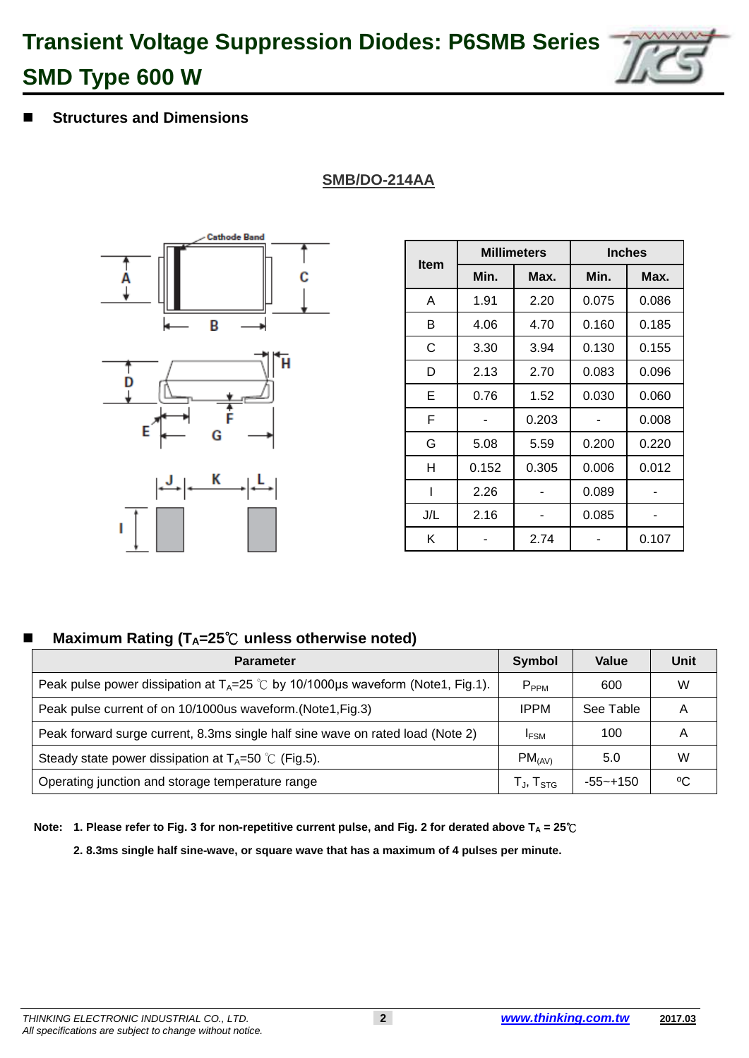c

 $\overline{\mathbf{H}}$ 

### 44 **Structures and Dimensions**

D

### **SMB/DO-214AA**



**Cathode Band** 

B

|             |       | <b>Millimeters</b> | <b>Inches</b> |       |  |
|-------------|-------|--------------------|---------------|-------|--|
| <b>Item</b> | Min.  | Max.               | Min.          | Max.  |  |
| A           | 1.91  | 2.20               | 0.075         | 0.086 |  |
| В           | 4.06  | 4.70               | 0.160         | 0.185 |  |
| С           | 3.30  | 3.94               | 0.130         | 0.155 |  |
| D           | 2.13  | 2.70               | 0.083         | 0.096 |  |
| Е           | 0.76  | 1.52               | 0.030         | 0.060 |  |
| F           |       | 0.203              |               | 0.008 |  |
| G           | 5.08  | 5.59               | 0.200         | 0.220 |  |
| н           | 0.152 | 0.305              | 0.006         | 0.012 |  |
|             | 2.26  |                    | 0.089         |       |  |
| J/L         | 2.16  |                    | 0.085         |       |  |
| Κ           |       | 2.74               |               | 0.107 |  |

### **Maximum Rating (T<sub>A</sub>=25<sup>℃</sup>C unless otherwise noted)**

| <b>Parameter</b>                                                                                | <b>Symbol</b>               | Value       | Unit |
|-------------------------------------------------------------------------------------------------|-----------------------------|-------------|------|
| Peak pulse power dissipation at $T_A = 25^\circ \text{C}$ by 10/1000µs waveform (Note1, Fig.1). | $P_{PPM}$                   | 600         | W    |
| Peak pulse current of on 10/1000us waveform. (Note1, Fig.3)                                     | <b>IPPM</b>                 | See Table   |      |
| Peak forward surge current, 8.3ms single half sine wave on rated load (Note 2)                  | <b>IFSM</b>                 | 100         |      |
| Steady state power dissipation at $T_A=50$ °C (Fig.5).                                          | $PM_{(AV)}$                 | 5.0         | W    |
| Operating junction and storage temperature range                                                | $T_{\sf J}$ , $T_{\sf STG}$ | $-55$ ~+150 | ℃    |

69 **Note: 1. Please refer to Fig. 3 for non-repetitive current pulse, and Fig. 2 for derated above T<sup>A</sup> = 25**℃

2. 8.3ms single half sine-wave, or square wave that has a maximum of 4 pulses per minute.

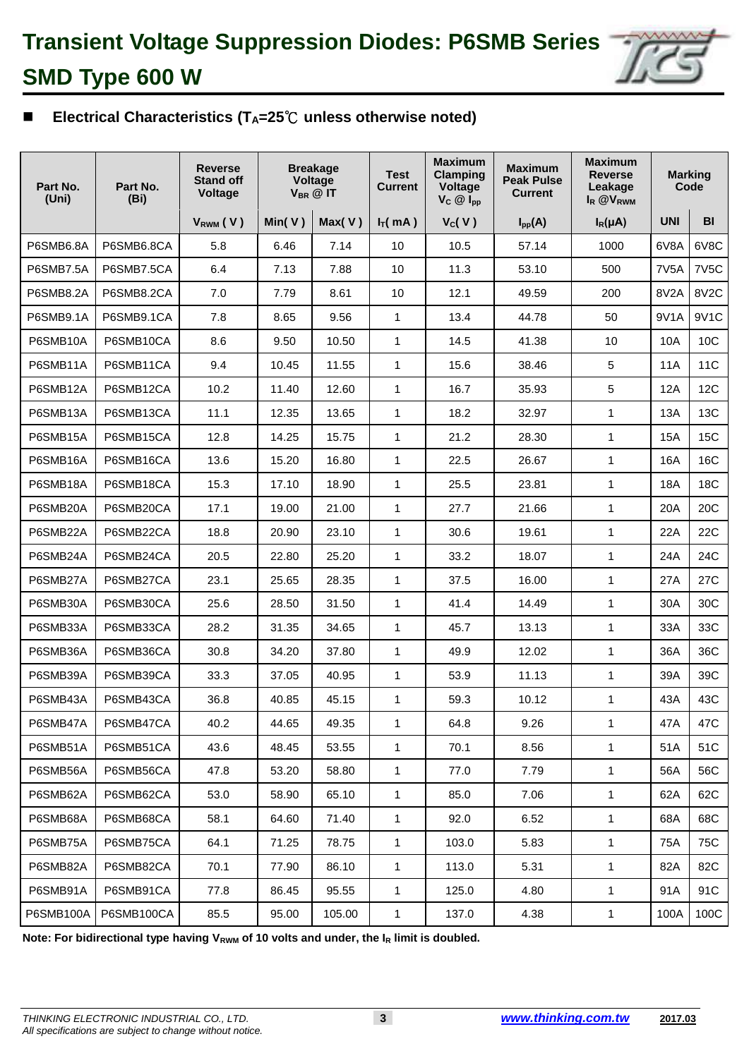

### 77 **Electrical Characteristics (TA=25**℃ **unless otherwise noted)**

| Part No.<br>Part No.<br>(Uni)<br>(Bi) |            | <b>Breakage</b><br><b>Reverse</b><br><b>Stand off</b><br>Voltage<br>$V_{BR}$ @ IT<br>Voltage |            | <b>Maximum</b><br><b>Test</b><br>Clamping<br>Current<br>Voltage<br>$V_C \ @$ $I_{pp}$ |              | <b>Maximum</b><br><b>Peak Pulse</b><br><b>Current</b> | <b>Maximum</b><br><b>Reverse</b><br>Leakage<br>I <sub>R</sub> @V <sub>RWM</sub> | <b>Marking</b><br>Code |                   |                   |
|---------------------------------------|------------|----------------------------------------------------------------------------------------------|------------|---------------------------------------------------------------------------------------|--------------|-------------------------------------------------------|---------------------------------------------------------------------------------|------------------------|-------------------|-------------------|
|                                       |            | V <sub>RWM</sub> (V)                                                                         | Min( $V$ ) | Max(V)                                                                                | $I_T(mA)$    | V <sub>C</sub> (V)                                    | $I_{pp}(A)$                                                                     | $I_R(\mu A)$           | <b>UNI</b>        | BI                |
| P6SMB6.8A                             | P6SMB6.8CA | 5.8                                                                                          | 6.46       | 7.14                                                                                  | 10           | 10.5                                                  | 57.14                                                                           | 1000                   | 6V8A              | 6V8C              |
| P6SMB7.5A                             | P6SMB7.5CA | 6.4                                                                                          | 7.13       | 7.88                                                                                  | 10           | 11.3                                                  | 53.10                                                                           | 500                    | 7V <sub>5</sub> A | <b>7V5C</b>       |
| <b>P6SMB8.2A</b>                      | P6SMB8.2CA | 7.0                                                                                          | 7.79       | 8.61                                                                                  | 10           | 12.1                                                  | 49.59                                                                           | 200                    | 8V2A              | 8V <sub>2</sub> C |
| P6SMB9.1A                             | P6SMB9.1CA | 7.8                                                                                          | 8.65       | 9.56                                                                                  | 1            | 13.4                                                  | 44.78                                                                           | 50                     | 9V1A              | 9V1C              |
| P6SMB10A                              | P6SMB10CA  | 8.6                                                                                          | 9.50       | 10.50                                                                                 | 1            | 14.5                                                  | 41.38                                                                           | 10                     | 10A               | 10C               |
| P6SMB11A                              | P6SMB11CA  | 9.4                                                                                          | 10.45      | 11.55                                                                                 | 1            | 15.6                                                  | 38.46                                                                           | 5                      | <b>11A</b>        | 11C               |
| P6SMB12A                              | P6SMB12CA  | 10.2                                                                                         | 11.40      | 12.60                                                                                 | $\mathbf{1}$ | 16.7                                                  | 35.93                                                                           | 5                      | 12A               | 12C               |
| P6SMB13A                              | P6SMB13CA  | 11.1                                                                                         | 12.35      | 13.65                                                                                 | 1            | 18.2                                                  | 32.97                                                                           | $\mathbf{1}$           | 13A               | 13C               |
| P6SMB15A                              | P6SMB15CA  | 12.8                                                                                         | 14.25      | 15.75                                                                                 | 1            | 21.2                                                  | 28.30                                                                           | 1                      | 15A               | 15C               |
| P6SMB16A                              | P6SMB16CA  | 13.6                                                                                         | 15.20      | 16.80                                                                                 | 1            | 22.5                                                  | 26.67                                                                           | $\mathbf{1}$           | 16A               | 16C               |
| P6SMB18A                              | P6SMB18CA  | 15.3                                                                                         | 17.10      | 18.90                                                                                 | 1            | 25.5                                                  | 23.81                                                                           | $\mathbf{1}$           | <b>18A</b>        | 18 <sub>C</sub>   |
| P6SMB20A                              | P6SMB20CA  | 17.1                                                                                         | 19.00      | 21.00                                                                                 | $\mathbf{1}$ | 27.7                                                  | 21.66                                                                           | $\mathbf{1}$           | 20A               | 20C               |
| P6SMB22A                              | P6SMB22CA  | 18.8                                                                                         | 20.90      | 23.10                                                                                 | 1            | 30.6                                                  | 19.61                                                                           | $\mathbf{1}$           | 22A               | 22C               |
| P6SMB24A                              | P6SMB24CA  | 20.5                                                                                         | 22.80      | 25.20                                                                                 | 1            | 33.2                                                  | 18.07                                                                           | $\mathbf{1}$           | 24A               | 24C               |
| P6SMB27A                              | P6SMB27CA  | 23.1                                                                                         | 25.65      | 28.35                                                                                 | 1            | 37.5                                                  | 16.00                                                                           | $\mathbf{1}$           | 27A               | 27C               |
| P6SMB30A                              | P6SMB30CA  | 25.6                                                                                         | 28.50      | 31.50                                                                                 | 1            | 41.4                                                  | 14.49                                                                           | $\mathbf{1}$           | 30A               | 30C               |
| P6SMB33A                              | P6SMB33CA  | 28.2                                                                                         | 31.35      | 34.65                                                                                 | 1            | 45.7                                                  | 13.13                                                                           | $\mathbf{1}$           | 33A               | 33C               |
| P6SMB36A                              | P6SMB36CA  | 30.8                                                                                         | 34.20      | 37.80                                                                                 | 1            | 49.9                                                  | 12.02                                                                           | $\mathbf{1}$           | 36A               | 36C               |
| P6SMB39A                              | P6SMB39CA  | 33.3                                                                                         | 37.05      | 40.95                                                                                 | 1            | 53.9                                                  | 11.13                                                                           | $\mathbf{1}$           | 39A               | 39C               |
| P6SMB43A                              | P6SMB43CA  | 36.8                                                                                         | 40.85      | 45.15                                                                                 | 1            | 59.3                                                  | 10.12                                                                           | $\mathbf{1}$           | 43A               | 43C               |
| P6SMB47A                              | P6SMB47CA  | 40.2                                                                                         | 44.65      | 49.35                                                                                 | 1            | 64.8                                                  | 9.26                                                                            | 1                      | 47A               | 47C               |
| P6SMB51A                              | P6SMB51CA  | 43.6                                                                                         | 48.45      | 53.55                                                                                 | 1            | 70.1                                                  | 8.56                                                                            | $\mathbf{1}$           | 51A               | 51C               |
| P6SMB56A                              | P6SMB56CA  | 47.8                                                                                         | 53.20      | 58.80                                                                                 | $\mathbf{1}$ | 77.0                                                  | 7.79                                                                            | $\mathbf{1}$           | 56A               | 56C               |
| P6SMB62A                              | P6SMB62CA  | 53.0                                                                                         | 58.90      | 65.10                                                                                 | $\mathbf{1}$ | 85.0                                                  | 7.06                                                                            | $\mathbf{1}$           | 62A               | 62C               |
| P6SMB68A                              | P6SMB68CA  | 58.1                                                                                         | 64.60      | 71.40                                                                                 | $\mathbf{1}$ | 92.0                                                  | 6.52                                                                            | $\mathbf{1}$           | 68A               | 68C               |
| P6SMB75A                              | P6SMB75CA  | 64.1                                                                                         | 71.25      | 78.75                                                                                 | 1            | 103.0                                                 | 5.83                                                                            | $\mathbf{1}$           | 75A               | 75C               |
| P6SMB82A                              | P6SMB82CA  | 70.1                                                                                         | 77.90      | 86.10                                                                                 | $\mathbf{1}$ | 113.0                                                 | 5.31                                                                            | $\mathbf{1}$           | 82A               | 82C               |
| P6SMB91A                              | P6SMB91CA  | 77.8                                                                                         | 86.45      | 95.55                                                                                 | 1            | 125.0                                                 | 4.80                                                                            | $\mathbf{1}$           | 91A               | 91C               |
| P6SMB100A                             | P6SMB100CA | 85.5                                                                                         | 95.00      | 105.00                                                                                | $\mathbf{1}$ | 137.0                                                 | 4.38                                                                            | $\mathbf{1}$           | 100A              | 100C              |

Note: For bidirectional type having V<sub>RWM</sub> of 10 volts and under, the I<sub>R</sub> limit is doubled.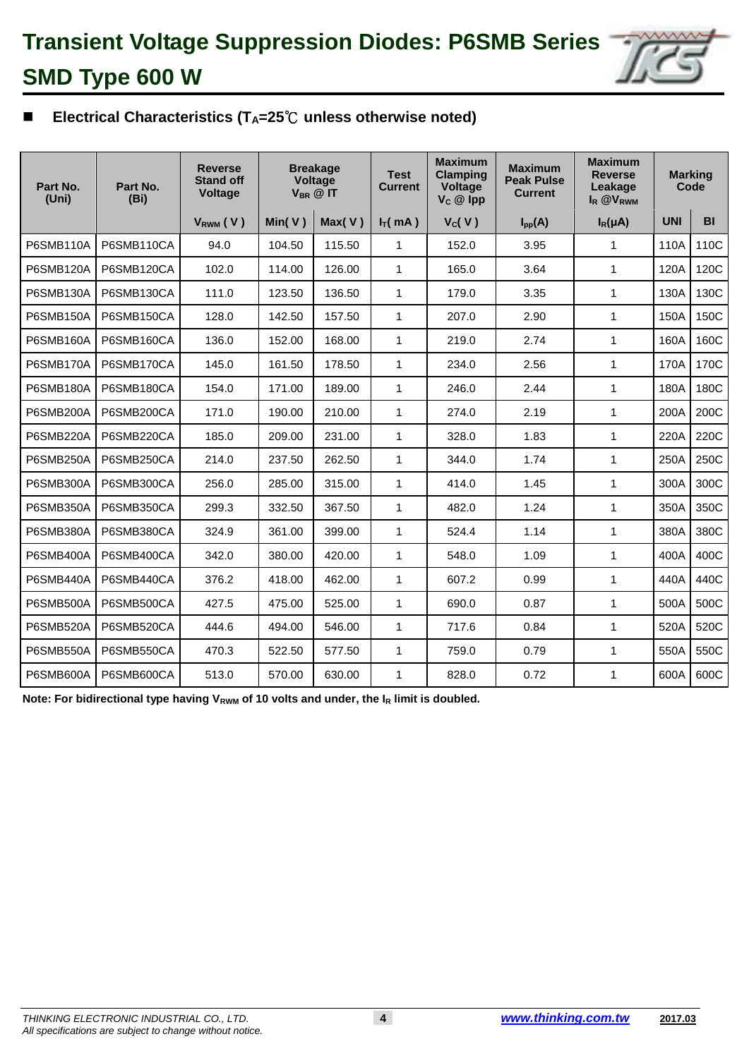

## 82 **Electrical Characteristics (TA=25**℃ **unless otherwise noted)**

| Part No.         | Part No.   | <b>Reverse</b><br><b>Stand off</b> | <b>Breakage</b><br>Voltage<br>$V_{BR}$ @ IT |        | <b>Test</b><br><b>Current</b> | <b>Maximum</b><br><b>Clamping</b><br>Voltage | <b>Maximum</b><br><b>Peak Pulse</b><br>Current | <b>Maximum</b><br><b>Reverse</b><br>Leakage | <b>Marking</b><br>Code |           |
|------------------|------------|------------------------------------|---------------------------------------------|--------|-------------------------------|----------------------------------------------|------------------------------------------------|---------------------------------------------|------------------------|-----------|
| (Uni)            | (Bi)       | Voltage                            |                                             |        |                               | $V_c \ @$ lpp                                |                                                | I <sub>R</sub> @V <sub>RWM</sub>            |                        |           |
|                  |            | VRWM (V)                           | Min( $V$ )                                  | Max(V) | $I_T(mA)$                     | V <sub>C</sub> (V)                           | $I_{pp}(A)$                                    | $I_R(\mu A)$                                | <b>UNI</b>             | <b>BI</b> |
| <b>P6SMB110A</b> | P6SMB110CA | 94.0                               | 104.50                                      | 115.50 | 1                             | 152.0                                        | 3.95                                           | 1                                           | 110A                   | 110C      |
| P6SMB120A        | P6SMB120CA | 102.0                              | 114.00                                      | 126.00 | $\mathbf{1}$                  | 165.0                                        | 3.64                                           | $\mathbf{1}$                                | 120A                   | 120C      |
| <b>P6SMB130A</b> | P6SMB130CA | 111.0                              | 123.50                                      | 136.50 | 1                             | 179.0                                        | 3.35                                           | $\mathbf{1}$                                | 130A                   | 130C      |
| <b>P6SMB150A</b> | P6SMB150CA | 128.0                              | 142.50                                      | 157.50 | 1                             | 207.0                                        | 2.90                                           | $\mathbf{1}$                                | 150A                   | 150C      |
| P6SMB160A        | P6SMB160CA | 136.0                              | 152.00                                      | 168.00 | 1                             | 219.0                                        | 2.74                                           | $\mathbf{1}$                                | 160A                   | 160C      |
| <b>P6SMB170A</b> | P6SMB170CA | 145.0                              | 161.50                                      | 178.50 | 1                             | 234.0                                        | 2.56                                           | $\mathbf{1}$                                | 170A                   | 170C      |
| <b>P6SMB180A</b> | P6SMB180CA | 154.0                              | 171.00                                      | 189.00 | 1                             | 246.0                                        | 2.44                                           | $\mathbf 1$                                 | 180A                   | 180C      |
| P6SMB200A        | P6SMB200CA | 171.0                              | 190.00                                      | 210.00 | $\mathbf 1$                   | 274.0                                        | 2.19                                           | $\mathbf{1}$                                | 200A                   | 200C      |
| P6SMB220A        | P6SMB220CA | 185.0                              | 209.00                                      | 231.00 | 1                             | 328.0                                        | 1.83                                           | $\mathbf{1}$                                | 220A                   | 220C      |
| P6SMB250A        | P6SMB250CA | 214.0                              | 237.50                                      | 262.50 | 1                             | 344.0                                        | 1.74                                           | $\mathbf 1$                                 | 250A                   | 250C      |
| <b>P6SMB300A</b> | P6SMB300CA | 256.0                              | 285.00                                      | 315.00 | 1                             | 414.0                                        | 1.45                                           | $\mathbf{1}$                                | 300A                   | 300C      |
| <b>P6SMB350A</b> | P6SMB350CA | 299.3                              | 332.50                                      | 367.50 | 1                             | 482.0                                        | 1.24                                           | $\mathbf{1}$                                | 350A                   | 350C      |
| P6SMB380A        | P6SMB380CA | 324.9                              | 361.00                                      | 399.00 | 1                             | 524.4                                        | 1.14                                           | 1                                           | 380A                   | 380C      |
| P6SMB400A        | P6SMB400CA | 342.0                              | 380.00                                      | 420.00 | 1                             | 548.0                                        | 1.09                                           | $\mathbf{1}$                                | 400A                   | 400C      |
| <b>P6SMB440A</b> | P6SMB440CA | 376.2                              | 418.00                                      | 462.00 | 1                             | 607.2                                        | 0.99                                           | $\mathbf{1}$                                | 440A                   | 440C      |
| P6SMB500A        | P6SMB500CA | 427.5                              | 475.00                                      | 525.00 | $\mathbf{1}$                  | 690.0                                        | 0.87                                           | $\mathbf 1$                                 | 500A                   | 500C      |
| P6SMB520A        | P6SMB520CA | 444.6                              | 494.00                                      | 546.00 | 1                             | 717.6                                        | 0.84                                           | $\mathbf 1$                                 | 520A                   | 520C      |
| P6SMB550A        | P6SMB550CA | 470.3                              | 522.50                                      | 577.50 | 1                             | 759.0                                        | 0.79                                           | $\mathbf{1}$                                | 550A                   | 550C      |
| P6SMB600A        | P6SMB600CA | 513.0                              | 570.00                                      | 630.00 | 1                             | 828.0                                        | 0.72                                           | 1                                           | 600A                   | 600C      |

Note: For bidirectional type having V<sub>RWM</sub> of 10 volts and under, the I<sub>R</sub> limit is doubled.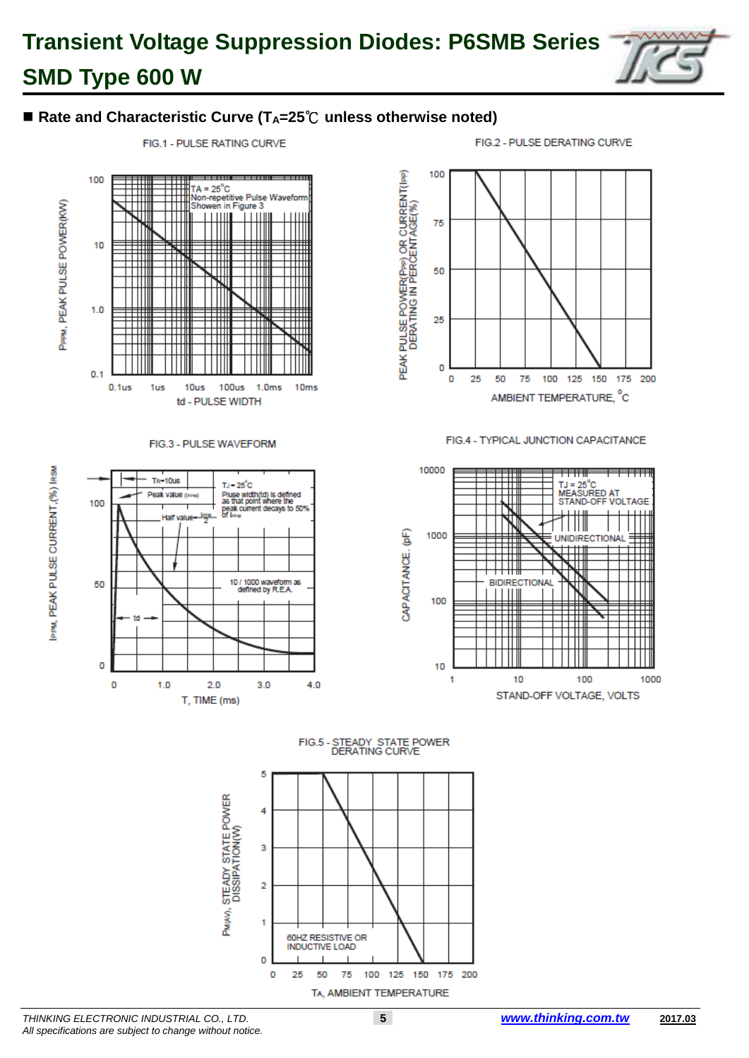

FIG.1 - PULSE RATING CURVE



T, TIME (ms)



#### FIG.4 - TYPICAL JUNCTION CAPACITANCE



FIG.5 - STEADY STATE POWER<br>DERATING CURVE



FIG.2 - PULSE DERATING CURVE

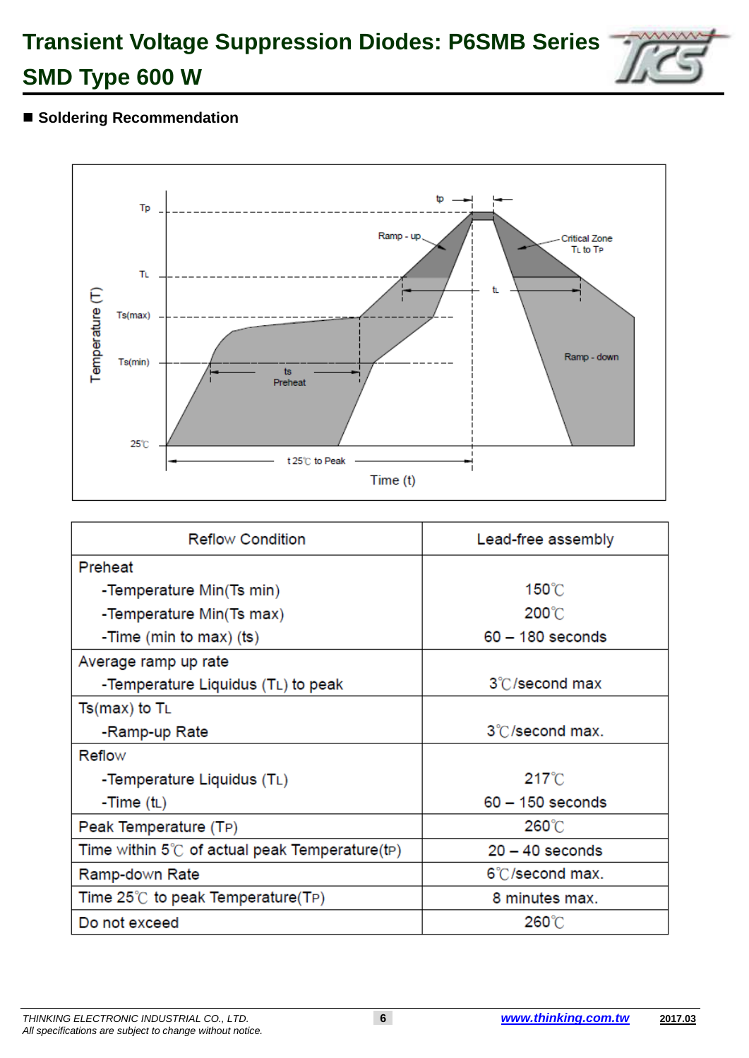

### ■ Soldering Recommendation



| <b>Reflow Condition</b>                                | Lead-free assembly |  |  |
|--------------------------------------------------------|--------------------|--|--|
| Preheat                                                |                    |  |  |
| -Temperature Min(Ts min)                               | $150^{\circ}$ C    |  |  |
| -Temperature Min(Ts max)                               | 200°C              |  |  |
| -Time (min to max) (ts)                                | $60 - 180$ seconds |  |  |
| Average ramp up rate                                   |                    |  |  |
| -Temperature Liquidus (TL) to peak                     | 3°C/second max     |  |  |
| $Ts(max)$ to $T_L$                                     |                    |  |  |
| -Ramp-up Rate                                          | 3°C/second max.    |  |  |
| Reflow                                                 |                    |  |  |
| -Temperature Liquidus (TL)                             | $217^{\circ}$ C    |  |  |
| -Time (tL)                                             | $60 - 150$ seconds |  |  |
| Peak Temperature (TP)                                  | 260°C              |  |  |
| Time within $5^{\circ}$ of actual peak Temperature(tp) | $20 - 40$ seconds  |  |  |
| Ramp-down Rate                                         | 6°C/second max.    |  |  |
| Time $25^{\circ}$ to peak Temperature(TP)              | 8 minutes max.     |  |  |
| Do not exceed                                          | 260°C              |  |  |